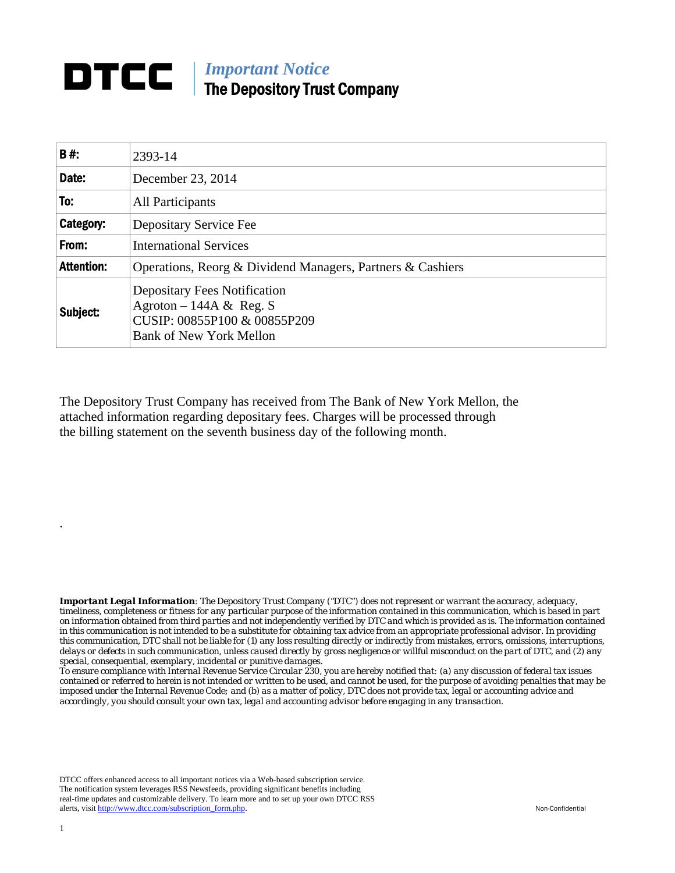## *Important Notice*  The Depository Trust Company

| B#:               | 2393-14                                                                                                                          |
|-------------------|----------------------------------------------------------------------------------------------------------------------------------|
| Date:             | December 23, 2014                                                                                                                |
| To:               | All Participants                                                                                                                 |
| Category:         | Depositary Service Fee                                                                                                           |
| From:             | <b>International Services</b>                                                                                                    |
| <b>Attention:</b> | Operations, Reorg & Dividend Managers, Partners & Cashiers                                                                       |
| Subject:          | <b>Depositary Fees Notification</b><br>Agroton – 144A & Reg. S<br>CUSIP: 00855P100 & 00855P209<br><b>Bank of New York Mellon</b> |

The Depository Trust Company has received from The Bank of New York Mellon, the attached information regarding depositary fees. Charges will be processed through the billing statement on the seventh business day of the following month.

*Important Legal Information: The Depository Trust Company ("DTC") does not represent or warrant the accuracy, adequacy, timeliness, completeness or fitness for any particular purpose of the information contained in this communication, which is based in part on information obtained from third parties and not independently verified by DTC and which is provided as is. The information contained in this communication is not intended to be a substitute for obtaining tax advice from an appropriate professional advisor. In providing this communication, DTC shall not be liable for (1) any loss resulting directly or indirectly from mistakes, errors, omissions, interruptions, delays or defects in such communication, unless caused directly by gross negligence or willful misconduct on the part of DTC, and (2) any special, consequential, exemplary, incidental or punitive damages.* 

*To ensure compliance with Internal Revenue Service Circular 230, you are hereby notified that: (a) any discussion of federal tax issues contained or referred to herein is not intended or written to be used, and cannot be used, for the purpose of avoiding penalties that may be imposed under the Internal Revenue Code; and (b) as a matter of policy, DTC does not provide tax, legal or accounting advice and accordingly, you should consult your own tax, legal and accounting advisor before engaging in any transaction.*

DTCC offers enhanced access to all important notices via a Web-based subscription service. The notification system leverages RSS Newsfeeds, providing significant benefits including real-time updates and customizable delivery. To learn more and to set up your own DTCC RSS alerts, visit http://www.dtcc.com/subscription\_form.php. Non-Confidential

.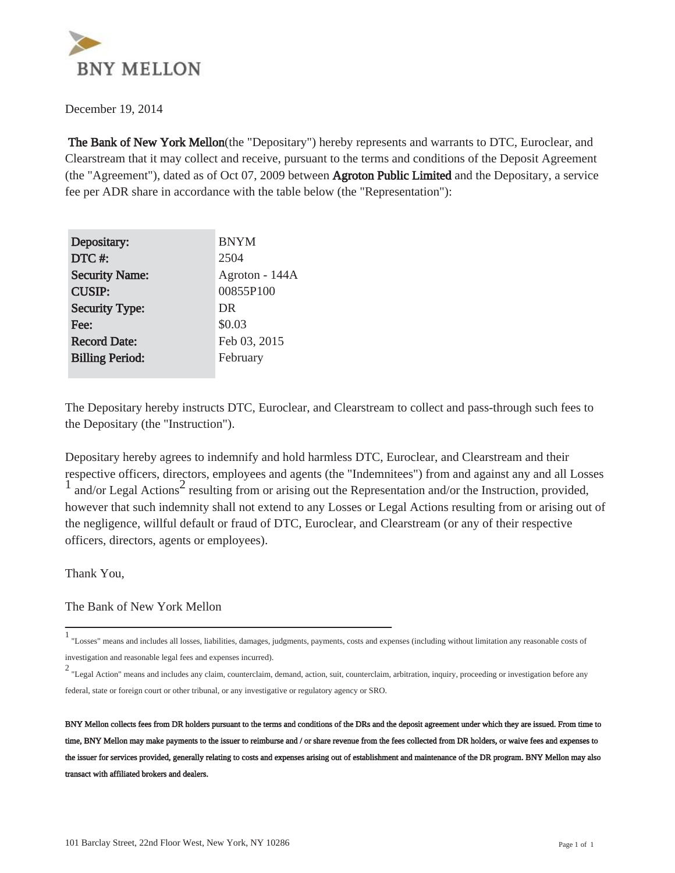

December 19, 2014

 The Bank of New York Mellon(the "Depositary") hereby represents and warrants to DTC, Euroclear, and Clearstream that it may collect and receive, pursuant to the terms and conditions of the Deposit Agreement (the "Agreement"), dated as of Oct 07, 2009 between Agroton Public Limited and the Depositary, a service fee per ADR share in accordance with the table below (the "Representation"):

| Depositary:            | <b>BNYM</b>    |
|------------------------|----------------|
| DTC#:                  | 2504           |
| <b>Security Name:</b>  | Agroton - 144A |
| <b>CUSIP:</b>          | 00855P100      |
| <b>Security Type:</b>  | DR             |
| Fee:                   | \$0.03         |
| <b>Record Date:</b>    | Feb 03, 2015   |
| <b>Billing Period:</b> | February       |
|                        |                |

The Depositary hereby instructs DTC, Euroclear, and Clearstream to collect and pass-through such fees to the Depositary (the "Instruction").

Depositary hereby agrees to indemnify and hold harmless DTC, Euroclear, and Clearstream and their respective officers, directors, employees and agents (the "Indemnitees") from and against any and all Losses  $\frac{1}{1}$  and/or Legal Actions<sup>2</sup> resulting from or arising out the Representation and/or the Instruction, provided, however that such indemnity shall not extend to any Losses or Legal Actions resulting from or arising out of the negligence, willful default or fraud of DTC, Euroclear, and Clearstream (or any of their respective officers, directors, agents or employees).

Thank You,

The Bank of New York Mellon

<sup>1</sup> "Losses" means and includes all losses, liabilities, damages, judgments, payments, costs and expenses (including without limitation any reasonable costs of investigation and reasonable legal fees and expenses incurred).

<sup>2</sup> "Legal Action" means and includes any claim, counterclaim, demand, action, suit, counterclaim, arbitration, inquiry, proceeding or investigation before any federal, state or foreign court or other tribunal, or any investigative or regulatory agency or SRO.

BNY Mellon collects fees from DR holders pursuant to the terms and conditions of the DRs and the deposit agreement under which they are issued. From time to time, BNY Mellon may make payments to the issuer to reimburse and / or share revenue from the fees collected from DR holders, or waive fees and expenses to the issuer for services provided, generally relating to costs and expenses arising out of establishment and maintenance of the DR program. BNY Mellon may also transact with affiliated brokers and dealers.